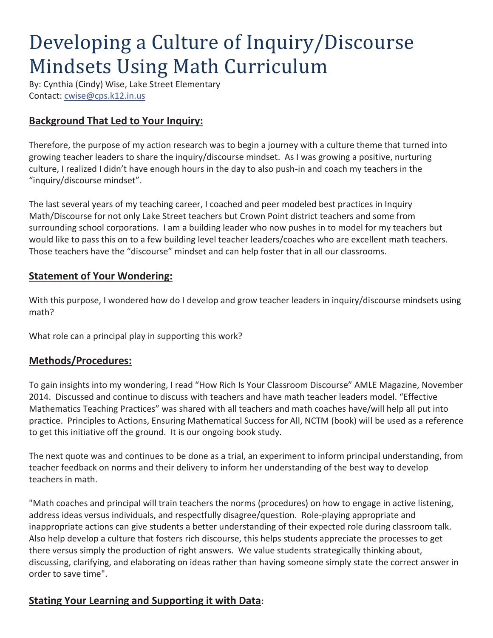# Developing a Culture of Inquiry/Discourse Mindsets Using Math Curriculum

By: Cynthia (Cindy) Wise, Lake Street Elementary Contact: cwise@cps.k12.in.us

## **Background That Led to Your Inquiry:**

Therefore, the purpose of my action research was to begin a journey with a culture theme that turned into growing teacher leaders to share the inquiry/discourse mindset. As I was growing a positive, nurturing culture, I realized I didn't have enough hours in the day to also push-in and coach my teachers in the "inquiry/discourse mindset".

The last several years of my teaching career, I coached and peer modeled best practices in Inquiry Math/Discourse for not only Lake Street teachers but Crown Point district teachers and some from surrounding school corporations. I am a building leader who now pushes in to model for my teachers but would like to pass this on to a few building level teacher leaders/coaches who are excellent math teachers. Those teachers have the "discourse" mindset and can help foster that in all our classrooms.

### **Statement of Your Wondering:**

With this purpose, I wondered how do I develop and grow teacher leaders in inquiry/discourse mindsets using math?

What role can a principal play in supporting this work?

## **Methods/Procedures:**

To gain insights into my wondering, I read "How Rich Is Your Classroom Discourse" AMLE Magazine, November 2014. Discussed and continue to discuss with teachers and have math teacher leaders model. "Effective Mathematics Teaching Practices" was shared with all teachers and math coaches have/will help all put into practice. Principles to Actions, Ensuring Mathematical Success for All, NCTM (book) will be used as a reference to get this initiative off the ground. It is our ongoing book study.

The next quote was and continues to be done as a trial, an experiment to inform principal understanding, from teacher feedback on norms and their delivery to inform her understanding of the best way to develop teachers in math.

"Math coaches and principal will train teachers the norms (procedures) on how to engage in active listening, address ideas versus individuals, and respectfully disagree/question. Role-playing appropriate and inappropriate actions can give students a better understanding of their expected role during classroom talk. Also help develop a culture that fosters rich discourse, this helps students appreciate the processes to get there versus simply the production of right answers. We value students strategically thinking about, discussing, clarifying, and elaborating on ideas rather than having someone simply state the correct answer in order to save time".

## **Stating Your Learning and Supporting it with Data:**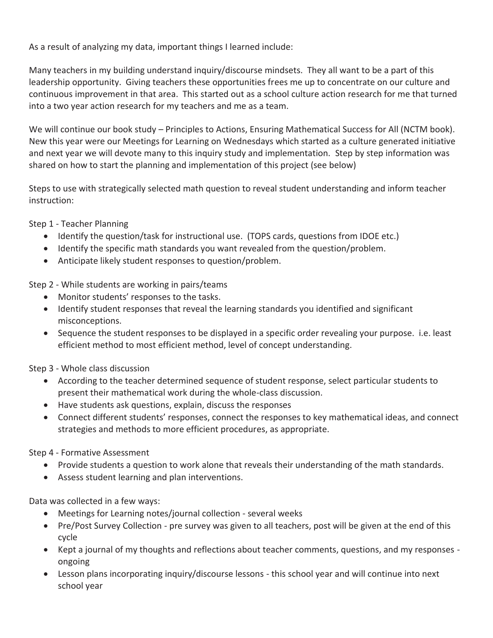As a result of analyzing my data, important things I learned include:

Many teachers in my building understand inquiry/discourse mindsets. They all want to be a part of this leadership opportunity. Giving teachers these opportunities frees me up to concentrate on our culture and continuous improvement in that area. This started out as a school culture action research for me that turned into a two year action research for my teachers and me as a team.

We will continue our book study – Principles to Actions, Ensuring Mathematical Success for All (NCTM book). New this year were our Meetings for Learning on Wednesdays which started as a culture generated initiative and next year we will devote many to this inquiry study and implementation. Step by step information was shared on how to start the planning and implementation of this project (see below)

Steps to use with strategically selected math question to reveal student understanding and inform teacher instruction:

Step 1 - Teacher Planning

- Identify the question/task for instructional use. (TOPS cards, questions from IDOE etc.)
- Identify the specific math standards you want revealed from the question/problem.
- Anticipate likely student responses to question/problem.

Step 2 - While students are working in pairs/teams

- Monitor students' responses to the tasks.
- Identify student responses that reveal the learning standards you identified and significant misconceptions.
- Sequence the student responses to be displayed in a specific order revealing your purpose. i.e. least efficient method to most efficient method, level of concept understanding.

Step 3 - Whole class discussion

- According to the teacher determined sequence of student response, select particular students to present their mathematical work during the whole-class discussion.
- Have students ask questions, explain, discuss the responses
- Connect different students' responses, connect the responses to key mathematical ideas, and connect strategies and methods to more efficient procedures, as appropriate.

Step 4 - Formative Assessment

- Provide students a question to work alone that reveals their understanding of the math standards.
- Assess student learning and plan interventions.

Data was collected in a few ways:

- Meetings for Learning notes/journal collection several weeks
- Pre/Post Survey Collection pre survey was given to all teachers, post will be given at the end of this cycle
- Kept a journal of my thoughts and reflections about teacher comments, questions, and my responses ongoing
- Lesson plans incorporating inquiry/discourse lessons this school year and will continue into next school year